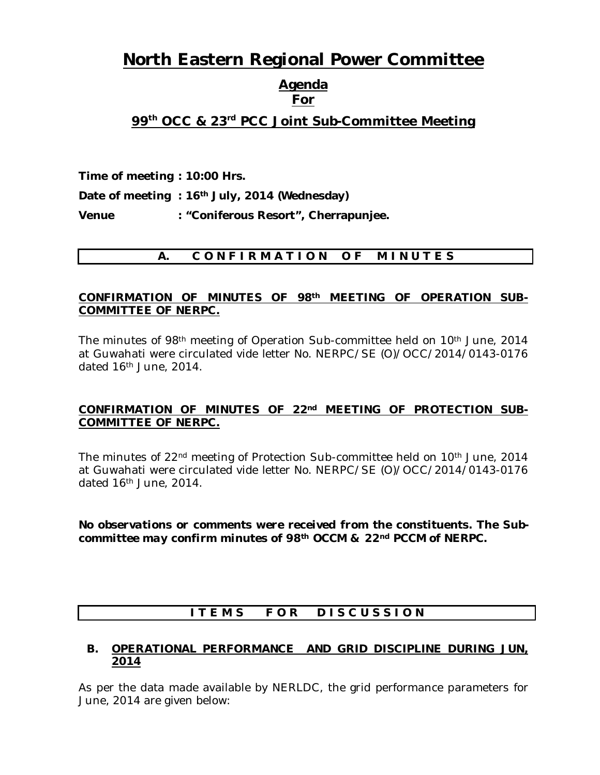# **North Eastern Regional Power Committee**

#### **Agenda For**

## **99 th OCC & 23 rd PCC Joint Sub-Committee Meeting**

**Time of meeting : 10:00 Hrs.**

**Date of meeting : 16th July, 2014 (Wednesday)** 

**Venue : "Coniferous Resort", Cherrapunjee.**

## **A. C O N F I R M A T I O N O F M I N U T E S**

#### **CONFIRMATION OF MINUTES OF 98th MEETING OF OPERATION SUB-COMMITTEE OF NERPC.**

The minutes of 98th meeting of Operation Sub-committee held on 10th June, 2014 at Guwahati were circulated vide letter No. NERPC/SE (O)/OCC/2014/0143-0176 dated 16th June, 2014.

## **CONFIRMATION OF MINUTES OF 22nd MEETING OF PROTECTION SUB-COMMITTEE OF NERPC.**

The minutes of 22nd meeting of Protection Sub-committee held on 10th June, 2014 at Guwahati were circulated vide letter No. NERPC/SE (O)/OCC/2014/0143-0176 dated 16th June, 2014.

*No observations or comments were received from the constituents. The Subcommittee may confirm minutes of 98th OCCM & 22nd PCCM of NERPC.*

## ITEMS FOR DISCUSSION

## **B. OPERATIONAL PERFORMANCE AND GRID DISCIPLINE DURING JUN, 2014**

As per the data made available by NERLDC, the grid performance parameters for June, 2014 are given below: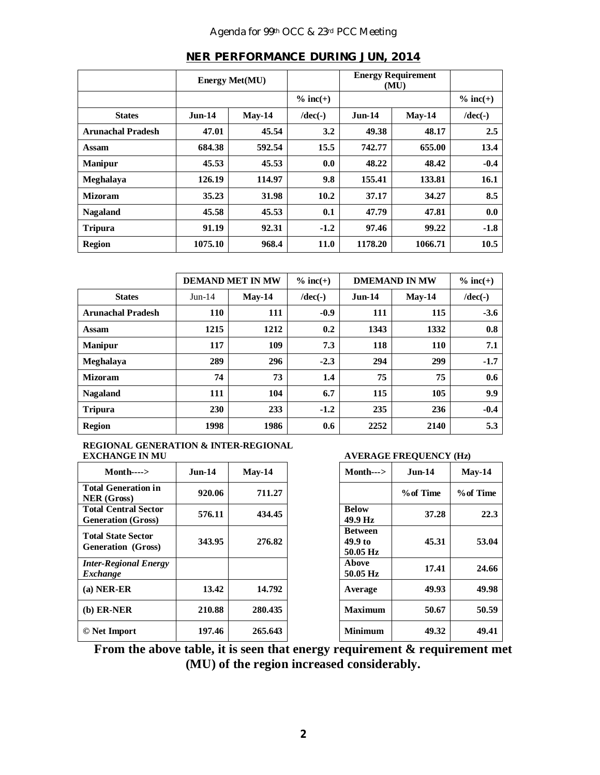## Agenda for 99th OCC & 23rd PCC Meeting

|                          | <b>Energy Met(MU)</b> |          | <b>Energy Requirement</b><br>(MU) |               |          |             |
|--------------------------|-----------------------|----------|-----------------------------------|---------------|----------|-------------|
|                          |                       |          | $\%$ inc(+)                       |               |          | $\%$ inc(+) |
| <b>States</b>            | <b>Jun-14</b>         | $Mav-14$ | $/dec(-)$                         | <b>Jun-14</b> | $Mav-14$ | $/dec(-)$   |
| <b>Arunachal Pradesh</b> | 47.01                 | 45.54    | 3.2                               | 49.38         | 48.17    | 2.5         |
| Assam                    | 684.38                | 592.54   | 15.5                              | 742.77        | 655.00   | 13.4        |
| <b>Manipur</b>           | 45.53                 | 45.53    | 0.0                               | 48.22         | 48.42    | $-0.4$      |
| Meghalaya                | 126.19                | 114.97   | 9.8                               | 155.41        | 133.81   | 16.1        |
| <b>Mizoram</b>           | 35.23                 | 31.98    | 10.2                              | 37.17         | 34.27    | 8.5         |
| <b>Nagaland</b>          | 45.58                 | 45.53    | 0.1                               | 47.79         | 47.81    | 0.0         |
| <b>Tripura</b>           | 91.19                 | 92.31    | $-1.2$                            | 97.46         | 99.22    | $-1.8$      |
| <b>Region</b>            | 1075.10               | 968.4    | 11.0                              | 1178.20       | 1066.71  | 10.5        |

#### **NER PERFORMANCE DURING JUN, 2014**

|                          | <b>DEMAND MET IN MW</b> |          | $\%$ inc(+) | <b>DMEMAND IN MW</b> |            | $\%$ inc(+) |
|--------------------------|-------------------------|----------|-------------|----------------------|------------|-------------|
| <b>States</b>            | $Jun-14$                | $Mav-14$ | $/dec(-)$   | $Jun-14$             | $Mav-14$   | $/dec(-)$   |
| <b>Arunachal Pradesh</b> | 110                     | 111      | $-0.9$      | 111                  | 115        | $-3.6$      |
| Assam                    | 1215                    | 1212     | 0.2         | 1343                 | 1332       | 0.8         |
| <b>Manipur</b>           | 117                     | 109      | 7.3         | 118                  | <b>110</b> | 7.1         |
| <b>Meghalaya</b>         | 289                     | 296      | $-2.3$      | 294                  | 299        | $-1.7$      |
| <b>Mizoram</b>           | 74                      | 73       | 1.4         | 75                   | 75         | 0.6         |
| <b>Nagaland</b>          | 111                     | 104      | 6.7         | 115                  | 105        | 9.9         |
| <b>Tripura</b>           | 230                     | 233      | $-1.2$      | 235                  | 236        | $-0.4$      |
| <b>Region</b>            | 1998                    | 1986     | 0.6         | 2252                 | 2140       | 5.3         |

## **REGIONAL GENERATION & INTER-REGIONAL**

| $Month---$                                               | $Jun-14$ | $May-14$ | $Month--$                             | $Jun-14$  | $Mav-14$  |
|----------------------------------------------------------|----------|----------|---------------------------------------|-----------|-----------|
| <b>Total Generation in</b><br><b>NER</b> (Gross)         | 920.06   | 711.27   |                                       | % of Time | % of Time |
| <b>Total Central Sector</b><br><b>Generation (Gross)</b> | 576.11   | 434.45   | <b>Below</b><br>49.9 Hz               | 37.28     | 22.3      |
| <b>Total State Sector</b><br><b>Generation</b> (Gross)   | 343.95   | 276.82   | <b>Between</b><br>49.9 to<br>50.05 Hz | 45.31     | 53.04     |
| <b>Inter-Regional Energy</b><br>Exchange                 |          |          | Above<br>50.05 Hz                     | 17.41     | 24.66     |
| $(a)$ NER-ER                                             | 13.42    | 14.792   | Average                               | 49.93     | 49.98     |
| $(b)$ ER-NER                                             | 210.88   | 280.435  | <b>Maximum</b>                        | 50.67     | 50.59     |
| © Net Import                                             | 197.46   | 265.643  | <b>Minimum</b>                        | 49.32     | 49.41     |

#### **EXPLAGE FREQUENCY (Hz)**

| $Month--$                             | Jun-14    | $May-14$  |
|---------------------------------------|-----------|-----------|
|                                       | % of Time | % of Time |
| <b>Below</b><br>49.9 Hz               | 37.28     | 22.3      |
| <b>Between</b><br>49.9 to<br>50.05 Hz | 45.31     | 53.04     |
| Above<br>50.05 Hz                     | 17.41     | 24.66     |
| Average                               | 49.93     | 49.98     |
| <b>Maximum</b>                        | 50.67     | 50.59     |
| Minimum                               | 49.32     | 49.41     |

**From the above table, it is seen that energy requirement & requirement met (MU) of the region increased considerably.**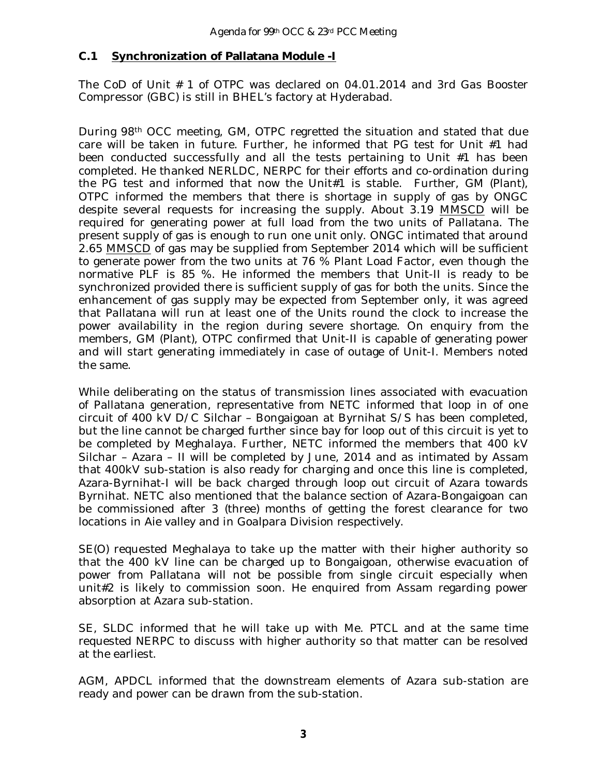#### **C.1 Synchronization of Pallatana Module -I**

The CoD of Unit # 1 of OTPC was declared on 04.01.2014 and 3rd Gas Booster Compressor (GBC) is still in BHEL's factory at Hyderabad.

During 98th OCC meeting, GM, OTPC regretted the situation and stated that due care will be taken in future. Further, he informed that PG test for Unit #1 had been conducted successfully and all the tests pertaining to Unit #1 has been completed. He thanked NERLDC, NERPC for their efforts and co-ordination during the PG test and informed that now the Unit#1 is stable. Further, GM (Plant), OTPC informed the members that there is shortage in supply of gas by ONGC despite several requests for increasing the supply. About 3.19 MMSCD will be required for generating power at full load from the two units of Pallatana. The present supply of gas is enough to run one unit only. ONGC intimated that around 2.65 MMSCD of gas may be supplied from September 2014 which will be sufficient to generate power from the two units at 76 % Plant Load Factor, even though the normative PLF is 85 %. He informed the members that Unit-II is ready to be synchronized provided there is sufficient supply of gas for both the units. Since the enhancement of gas supply may be expected from September only, it was agreed that Pallatana will run at least one of the Units round the clock to increase the power availability in the region during severe shortage. On enquiry from the members, GM (Plant), OTPC confirmed that Unit-II is capable of generating power and will start generating immediately in case of outage of Unit-I. Members noted the same.

While deliberating on the status of transmission lines associated with evacuation of Pallatana generation, representative from NETC informed that loop in of one circuit of 400 kV D/C Silchar – Bongaigoan at Byrnihat S/S has been completed, but the line cannot be charged further since bay for loop out of this circuit is yet to be completed by Meghalaya. Further, NETC informed the members that 400 kV Silchar – Azara – II will be completed by June, 2014 and as intimated by Assam that 400kV sub-station is also ready for charging and once this line is completed, Azara-Byrnihat-I will be back charged through loop out circuit of Azara towards Byrnihat. NETC also mentioned that the balance section of Azara-Bongaigoan can be commissioned after 3 (three) months of getting the forest clearance for two locations in Aie valley and in Goalpara Division respectively.

SE(O) requested Meghalaya to take up the matter with their higher authority so that the 400 kV line can be charged up to Bongaigoan, otherwise evacuation of power from Pallatana will not be possible from single circuit especially when unit#2 is likely to commission soon. He enquired from Assam regarding power absorption at Azara sub-station.

SE, SLDC informed that he will take up with Me. PTCL and at the same time requested NERPC to discuss with higher authority so that matter can be resolved at the earliest.

AGM, APDCL informed that the downstream elements of Azara sub-station are ready and power can be drawn from the sub-station.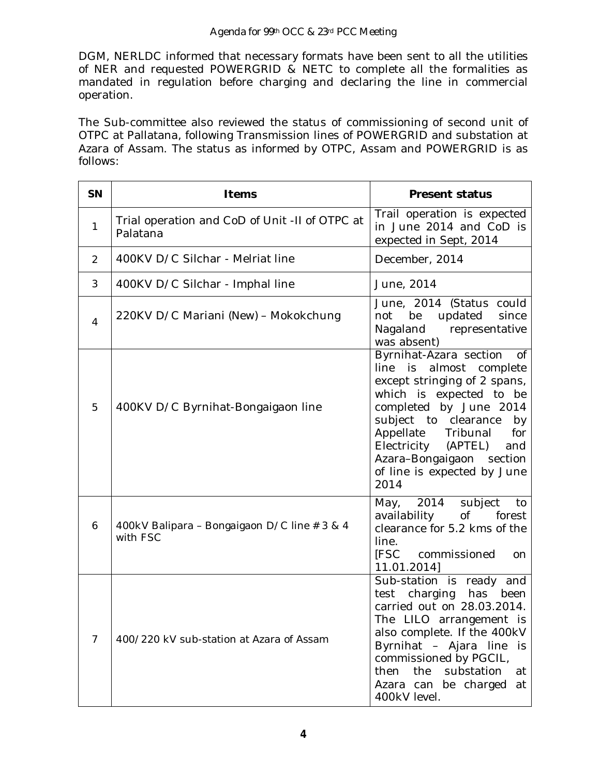DGM, NERLDC informed that necessary formats have been sent to all the utilities of NER and requested POWERGRID & NETC to complete all the formalities as mandated in regulation before charging and declaring the line in commercial operation.

The Sub-committee also reviewed the status of commissioning of second unit of OTPC at Pallatana, following Transmission lines of POWERGRID and substation at Azara of Assam. The status as informed by OTPC, Assam and POWERGRID is as follows:

| SN             | Items                                                      | <b>Present status</b>                                                                                                                                                                                                                                                                                       |
|----------------|------------------------------------------------------------|-------------------------------------------------------------------------------------------------------------------------------------------------------------------------------------------------------------------------------------------------------------------------------------------------------------|
| $\mathbf{1}$   | Trial operation and CoD of Unit -II of OTPC at<br>Palatana | Trail operation is expected<br>in June 2014 and CoD is<br>expected in Sept, 2014                                                                                                                                                                                                                            |
| 2              | 400KV D/C Silchar - Melriat line                           | December, 2014                                                                                                                                                                                                                                                                                              |
| 3              | 400KV D/C Silchar - Imphal line                            | June, 2014                                                                                                                                                                                                                                                                                                  |
| $\overline{4}$ | 220KV D/C Mariani (New) - Mokokchung                       | June, 2014 (Status could<br>be<br>updated<br>since<br>not<br>Nagaland<br>representative<br>was absent)                                                                                                                                                                                                      |
| 5              | 400KV D/C Byrnihat-Bongaigaon line                         | Byrnihat-Azara section<br>Οf<br>almost complete<br>line is<br>except stringing of 2 spans,<br>which is expected to be<br>completed by June 2014<br>subject to clearance<br>by<br>Appellate Tribunal<br>for<br>Electricity (APTEL)<br>and<br>Azara-Bongaigaon section<br>of line is expected by June<br>2014 |
| 6              | 400kV Balipara - Bongaigaon D/C line # 3 & 4<br>with FSC   | May, 2014<br>subject<br>to<br>of<br>availability<br>forest<br>clearance for 5.2 kms of the<br>line.<br>[FSC<br>commissioned<br>on<br>11.01.2014]                                                                                                                                                            |
| $\overline{7}$ | 400/220 kV sub-station at Azara of Assam                   | Sub-station is ready and<br>test charging<br>has<br>been<br>carried out on 28.03.2014.<br>The LILO arrangement is<br>also complete. If the 400kV<br>Byrnihat - Ajara line is<br>commissioned by PGCIL,<br>then<br>the<br>substation<br>at<br>Azara can be charged<br>at<br>400kV level.                     |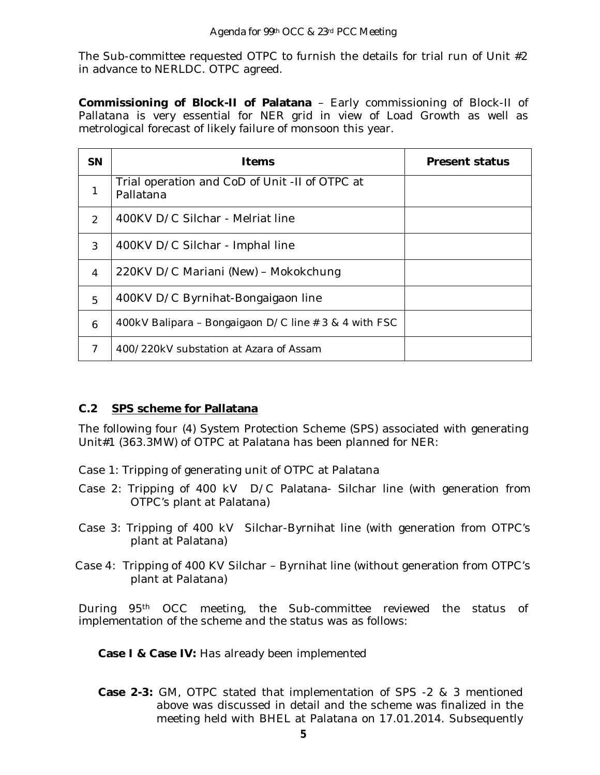The Sub-committee requested OTPC to furnish the details for trial run of Unit #2 in advance to NERLDC. OTPC agreed.

**Commissioning of Block-II of Palatana** – Early commissioning of Block-II of Pallatana is very essential for NER grid in view of Load Growth as well as metrological forecast of likely failure of monsoon this year.

| <b>SN</b>      | <b>Items</b>                                                | <b>Present status</b> |
|----------------|-------------------------------------------------------------|-----------------------|
| 1              | Trial operation and CoD of Unit -II of OTPC at<br>Pallatana |                       |
| $\mathcal{P}$  | 400KV D/C Silchar - Melriat line                            |                       |
| 3              | 400KV D/C Silchar - Imphal line                             |                       |
| $\overline{4}$ | 220KV D/C Mariani (New) - Mokokchung                        |                       |
| 5              | 400KV D/C Byrnihat-Bongaigaon line                          |                       |
| 6              | 400kV Balipara – Bongaigaon D/C line # 3 & 4 with FSC       |                       |
| 7              | 400/220kV substation at Azara of Assam                      |                       |

## **C.2 SPS scheme for Pallatana**

The following four (4) System Protection Scheme (SPS) associated with generating Unit#1 (363.3MW) of OTPC at Palatana has been planned for NER:

- Case 1: Tripping of generating unit of OTPC at Palatana
- Case 2: Tripping of 400 kV D/C Palatana- Silchar line (with generation from OTPC's plant at Palatana)
- Case 3: Tripping of 400 kV Silchar-Byrnihat line (with generation from OTPC's plant at Palatana)
- Case 4: Tripping of 400 KV Silchar Byrnihat line (without generation from OTPC's plant at Palatana)

During 95th OCC meeting, the Sub-committee reviewed the status of implementation of the scheme and the status was as follows:

**Case I & Case IV:** Has already been implemented

**Case 2-3:** GM, OTPC stated that implementation of SPS -2 & 3 mentioned above was discussed in detail and the scheme was finalized in the meeting held with BHEL at Palatana on 17.01.2014. Subsequently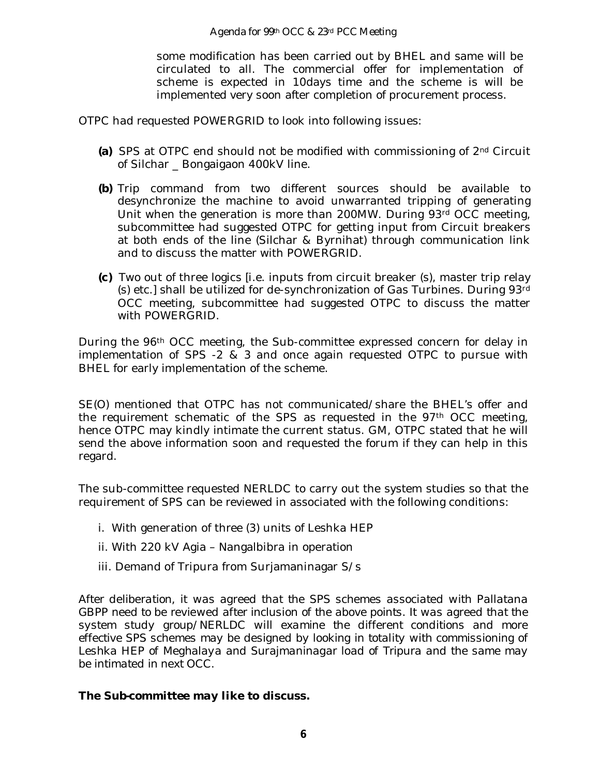some modification has been carried out by BHEL and same will be circulated to all. The commercial offer for implementation of scheme is expected in 10days time and the scheme is will be implemented very soon after completion of procurement process.

OTPC had requested POWERGRID to look into following issues:

- **(a)** SPS at OTPC end should not be modified with commissioning of 2nd Circuit of Silchar \_ Bongaigaon 400kV line.
- **(b)** Trip command from two different sources should be available to desynchronize the machine to avoid unwarranted tripping of generating Unit when the generation is more than 200MW. During 93rd OCC meeting, subcommittee had suggested OTPC for getting input from Circuit breakers at both ends of the line (Silchar & Byrnihat) through communication link and to discuss the matter with POWERGRID.
- **(c)** Two out of three logics [i.e. inputs from circuit breaker (s), master trip relay (s) etc.] shall be utilized for de-synchronization of Gas Turbines. During 93rd OCC meeting, subcommittee had suggested OTPC to discuss the matter with POWERGRID.

During the 96th OCC meeting, the Sub-committee expressed concern for delay in implementation of SPS -2 & 3 and once again requested OTPC to pursue with BHEL for early implementation of the scheme.

SE(O) mentioned that OTPC has not communicated/share the BHEL's offer and the requirement schematic of the SPS as requested in the 97th OCC meeting, hence OTPC may kindly intimate the current status. GM, OTPC stated that he will send the above information soon and requested the forum if they can help in this regard.

The sub-committee requested NERLDC to carry out the system studies so that the requirement of SPS can be reviewed in associated with the following conditions:

- i. With generation of three (3) units of Leshka HEP
- ii. With 220 kV Agia Nangalbibra in operation
- iii. Demand of Tripura from Surjamaninagar S/s

*After deliberation, it was agreed that the SPS schemes associated with Pallatana GBPP need to be reviewed after inclusion of the above points. It was agreed that the system study group/NERLDC will examine the different conditions and more effective SPS schemes may be designed by looking in totality with commissioning of Leshka HEP of Meghalaya and Surajmaninagar load of Tripura and the same may be intimated in next OCC.* 

#### *The Sub-committee may like to discuss.*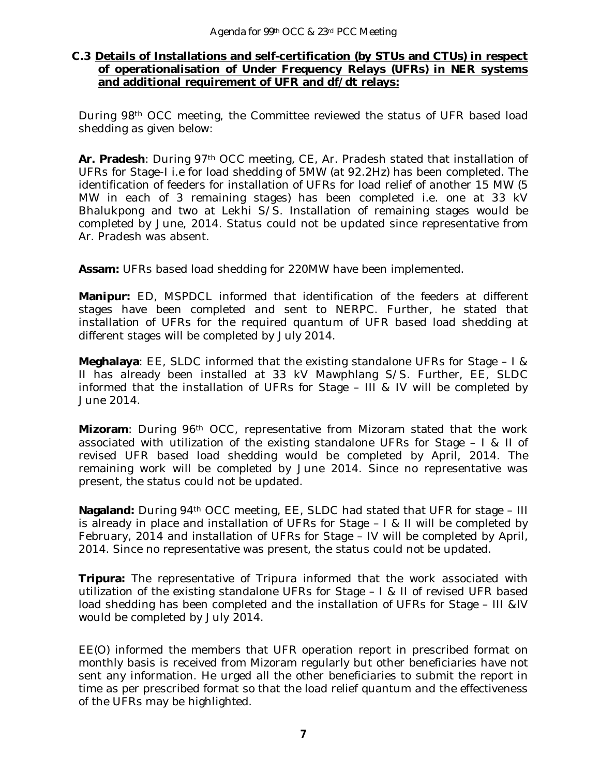#### **C.3 Details of Installations and self-certification (by STUs and CTUs) in respect of operationalisation of Under Frequency Relays (UFRs) in NER systems and additional requirement of UFR and df/dt relays:**

During 98th OCC meeting, the Committee reviewed the status of UFR based load shedding as given below:

**Ar. Pradesh**: During 97th OCC meeting, CE, Ar. Pradesh stated that installation of UFRs for Stage-I i.e for load shedding of 5MW (at 92.2Hz) has been completed. The identification of feeders for installation of UFRs for load relief of another 15 MW (5 MW in each of 3 remaining stages) has been completed i.e. one at 33 kV Bhalukpong and two at Lekhi S/S. Installation of remaining stages would be completed by June, 2014. Status could not be updated since representative from Ar. Pradesh was absent.

**Assam:** UFRs based load shedding for 220MW have been implemented.

**Manipur:** ED, MSPDCL informed that identification of the feeders at different stages have been completed and sent to NERPC. Further, he stated that installation of UFRs for the required quantum of UFR based load shedding at different stages will be completed by July 2014.

**Meghalaya**: EE, SLDC informed that the existing standalone UFRs for Stage – I & II has already been installed at 33 kV Mawphlang S/S. Further, EE, SLDC informed that the installation of UFRs for Stage – III & IV will be completed by June 2014.

**Mizoram**: During 96th OCC, representative from Mizoram stated that the work associated with utilization of the existing standalone UFRs for Stage – I & II of revised UFR based load shedding would be completed by April, 2014. The remaining work will be completed by June 2014. Since no representative was present, the status could not be updated.

**Nagaland:** During 94th OCC meeting, EE, SLDC had stated that UFR for stage – III is already in place and installation of UFRs for Stage – I & II will be completed by February, 2014 and installation of UFRs for Stage – IV will be completed by April, 2014. Since no representative was present, the status could not be updated.

**Tripura:** The representative of Tripura informed that the work associated with utilization of the existing standalone UFRs for Stage – I & II of revised UFR based load shedding has been completed and the installation of UFRs for Stage – III &IV would be completed by July 2014.

EE(O) informed the members that UFR operation report in prescribed format on monthly basis is received from Mizoram regularly but other beneficiaries have not sent any information. He urged all the other beneficiaries to submit the report in time as per prescribed format so that the load relief quantum and the effectiveness of the UFRs may be highlighted.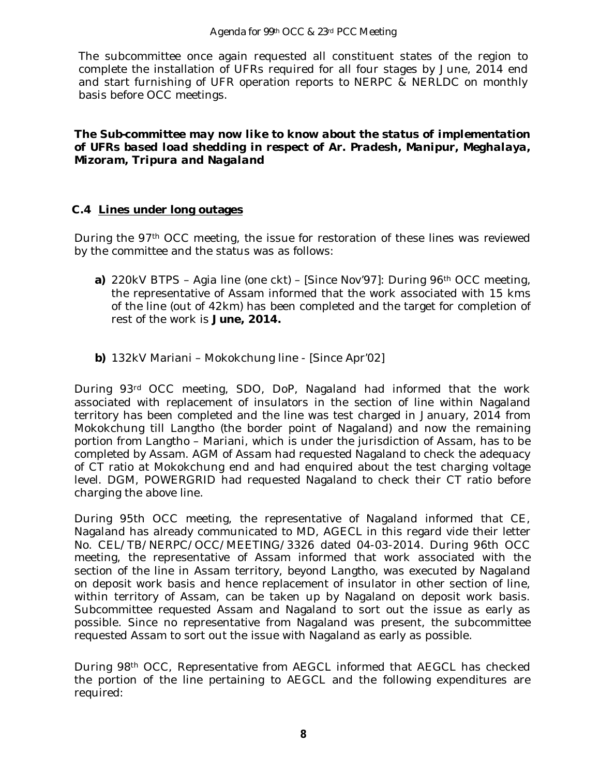The subcommittee once again requested all constituent states of the region to complete the installation of UFRs required for all four stages by June, 2014 end and start furnishing of UFR operation reports to NERPC & NERLDC on monthly basis before OCC meetings.

*The Sub-committee may now like to know about the status of implementation of UFRs based load shedding in respect of Ar. Pradesh, Manipur, Meghalaya, Mizoram, Tripura and Nagaland*

## **C.4 Lines under long outages**

During the 97th OCC meeting, the issue for restoration of these lines was reviewed by the committee and the status was as follows:

- **a)** 220kV BTPS Agia line (one ckt) [Since Nov'97]: During 96<sup>th</sup> OCC meeting, the representative of Assam informed that the work associated with 15 kms of the line (out of 42km) has been completed and the target for completion of rest of the work is **June, 2014.**
- **b)** 132kV Mariani Mokokchung line [Since Apr'02]

During 93rd OCC meeting, SDO, DoP, Nagaland had informed that the work associated with replacement of insulators in the section of line within Nagaland territory has been completed and the line was test charged in January, 2014 from Mokokchung till Langtho (the border point of Nagaland) and now the remaining portion from Langtho – Mariani, which is under the jurisdiction of Assam, has to be completed by Assam. AGM of Assam had requested Nagaland to check the adequacy of CT ratio at Mokokchung end and had enquired about the test charging voltage level. DGM, POWERGRID had requested Nagaland to check their CT ratio before charging the above line.

During 95th OCC meeting, the representative of Nagaland informed that CE, Nagaland has already communicated to MD, AGECL in this regard vide their letter No. CEL/TB/NERPC/OCC/MEETING/3326 dated 04-03-2014. During 96th OCC meeting, the representative of Assam informed that work associated with the section of the line in Assam territory, beyond Langtho, was executed by Nagaland on deposit work basis and hence replacement of insulator in other section of line, within territory of Assam, can be taken up by Nagaland on deposit work basis. Subcommittee requested Assam and Nagaland to sort out the issue as early as possible. Since no representative from Nagaland was present, the subcommittee requested Assam to sort out the issue with Nagaland as early as possible.

During 98th OCC, Representative from AEGCL informed that AEGCL has checked the portion of the line pertaining to AEGCL and the following expenditures are required: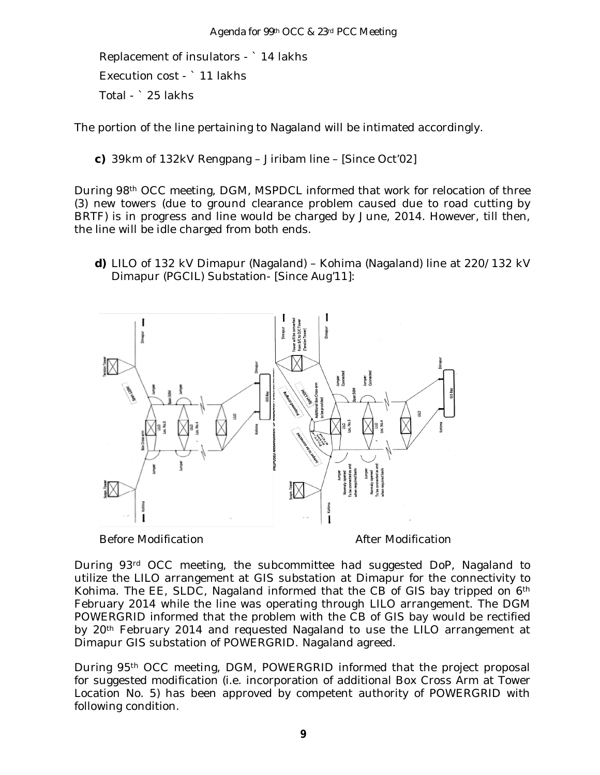Replacement of insulators - ` 14 lakhs Execution cost - ` 11 lakhs Total - ` 25 lakhs

The portion of the line pertaining to Nagaland will be intimated accordingly.

**c)** 39km of 132kV Rengpang – Jiribam line – [Since Oct'02]

During 98th OCC meeting, DGM, MSPDCL informed that work for relocation of three (3) new towers (due to ground clearance problem caused due to road cutting by BRTF) is in progress and line would be charged by June, 2014. However, till then, the line will be idle charged from both ends.

**d)** LILO of 132 kV Dimapur (Nagaland) – Kohima (Nagaland) line at 220/132 kV Dimapur (PGCIL) Substation- [Since Aug'11]:



Before Modification **After Modification After Modification** 

During 93rd OCC meeting, the subcommittee had suggested DoP, Nagaland to utilize the LILO arrangement at GIS substation at Dimapur for the connectivity to Kohima. The EE, SLDC, Nagaland informed that the CB of GIS bay tripped on 6<sup>th</sup> February 2014 while the line was operating through LILO arrangement. The DGM POWERGRID informed that the problem with the CB of GIS bay would be rectified by 20th February 2014 and requested Nagaland to use the LILO arrangement at Dimapur GIS substation of POWERGRID. Nagaland agreed.

During 95th OCC meeting, DGM, POWERGRID informed that the project proposal for suggested modification (i.e. incorporation of additional Box Cross Arm at Tower Location No. 5) has been approved by competent authority of POWERGRID with following condition.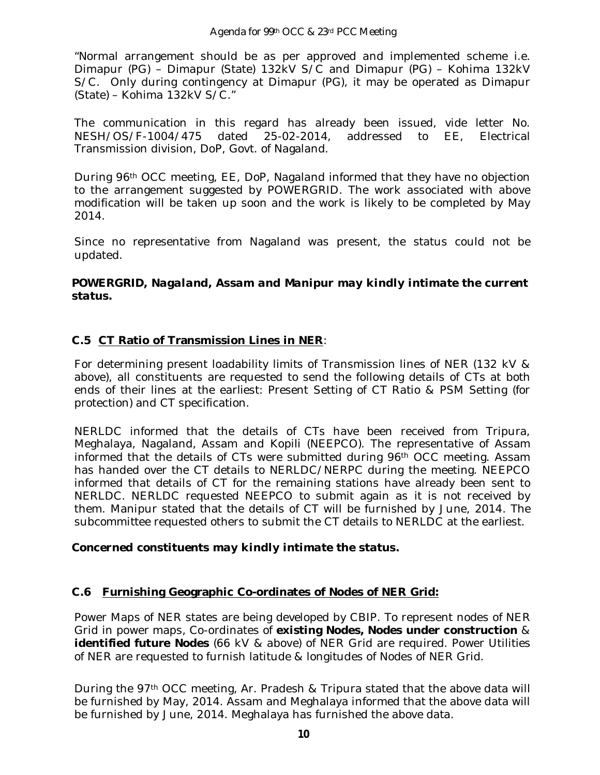"Normal arrangement should be as per approved and implemented scheme i.e. Dimapur (PG) – Dimapur (State) 132kV S/C and Dimapur (PG) – Kohima 132kV S/C. Only during contingency at Dimapur (PG), it may be operated as Dimapur (State) – Kohima 132kV S/C."

The communication in this regard has already been issued, vide letter No. NESH/OS/F-1004/475 dated 25-02-2014, addressed to EE, Electrical Transmission division, DoP, Govt. of Nagaland.

During 96th OCC meeting, EE, DoP, Nagaland informed that they have no objection to the arrangement suggested by POWERGRID. The work associated with above modification will be taken up soon and the work is likely to be completed by May 2014.

Since no representative from Nagaland was present, the status could not be updated.

## *POWERGRID, Nagaland, Assam and Manipur may kindly intimate the current status.*

## **C.5 CT Ratio of Transmission Lines in NER**:

For determining present loadability limits of Transmission lines of NER (132 kV & above), all constituents are requested to send the following details of CTs at both ends of their lines at the earliest: Present Setting of CT Ratio & PSM Setting (for protection) and CT specification.

NERLDC informed that the details of CTs have been received from Tripura, Meghalaya, Nagaland, Assam and Kopili (NEEPCO). The representative of Assam informed that the details of CTs were submitted during 96th OCC meeting. Assam has handed over the CT details to NERLDC/NERPC during the meeting. NEEPCO informed that details of CT for the remaining stations have already been sent to NERLDC. NERLDC requested NEEPCO to submit again as it is not received by them. Manipur stated that the details of CT will be furnished by June, 2014. The subcommittee requested others to submit the CT details to NERLDC at the earliest.

## *Concerned constituents may kindly intimate the status.*

## **C.6 Furnishing Geographic Co-ordinates of Nodes of NER Grid:**

Power Maps of NER states are being developed by CBIP. To represent nodes of NER Grid in power maps, Co-ordinates of **existing Nodes, Nodes under construction** & **identified future Nodes** (66 kV & above) of NER Grid are required. Power Utilities of NER are requested to furnish latitude & longitudes of Nodes of NER Grid.

During the 97th OCC meeting, Ar. Pradesh & Tripura stated that the above data will be furnished by May, 2014. Assam and Meghalaya informed that the above data will be furnished by June, 2014. Meghalaya has furnished the above data.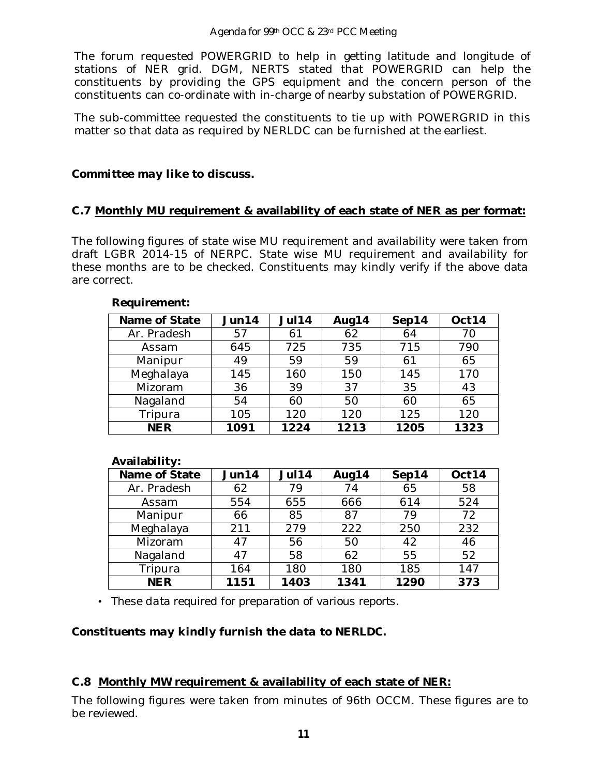#### Agenda for 99th OCC & 23rd PCC Meeting

The forum requested POWERGRID to help in getting latitude and longitude of stations of NER grid. DGM, NERTS stated that POWERGRID can help the constituents by providing the GPS equipment and the concern person of the constituents can co-ordinate with in-charge of nearby substation of POWERGRID.

The sub-committee requested the constituents to tie up with POWERGRID in this matter so that data as required by NERLDC can be furnished at the earliest.

#### *Committee may like to discuss.*

#### **C.7 Monthly MU requirement & availability of each state of NER as per format:**

The following figures of state wise MU requirement and availability were taken from draft LGBR 2014-15 of NERPC. State wise MU requirement and availability for these months are to be checked. Constituents may kindly verify if the above data are correct.

| Name of State | Jun14 | Jul14 | Aug14 | Sep14 | Oct14 |
|---------------|-------|-------|-------|-------|-------|
| Ar. Pradesh   | 57    | 61    | 62    | 64    | 70    |
| Assam         | 645   | 725   | 735   | 715   | 790   |
| Manipur       | 49    | 59    | 59    | 61    | 65    |
| Meghalaya     | 145   | 160   | 150   | 145   | 170   |
| Mizoram       | 36    | 39    | 37    | 35    | 43    |
| Nagaland      | 54    | 60    | 50    | 60    | 65    |
| Tripura       | 105   | 120   | 120   | 125   | 120   |
| <b>NER</b>    | 1091  | 1224  | 1213  | 1205  | 1323  |

#### **Requirement:**

#### **Availability:**

| Name of State | Jun14 | Jul14 | Aug14 | Sep14 | Oct14 |
|---------------|-------|-------|-------|-------|-------|
| Ar. Pradesh   | 62    | 79    | 74    | 65    | 58    |
| Assam         | 554   | 655   | 666   | 614   | 524   |
| Manipur       | 66    | 85    | 87    | 79    | 72    |
| Meghalaya     | 211   | 279   | 222   | 250   | 232   |
| Mizoram       | 47    | 56    | 50    | 42    | 46    |
| Nagaland      | 47    | 58    | 62    | 55    | 52    |
| Tripura       | 164   | 180   | 180   | 185   | 147   |
| <b>NER</b>    | 1151  | 1403  | 1341  | 1290  | 373   |

• *These data required for preparation of various reports.*

## *Constituents may kindly furnish the data to NERLDC.*

## **C.8 Monthly MW requirement & availability of each state of NER:**

The following figures were taken from minutes of 96th OCCM. These figures are to be reviewed.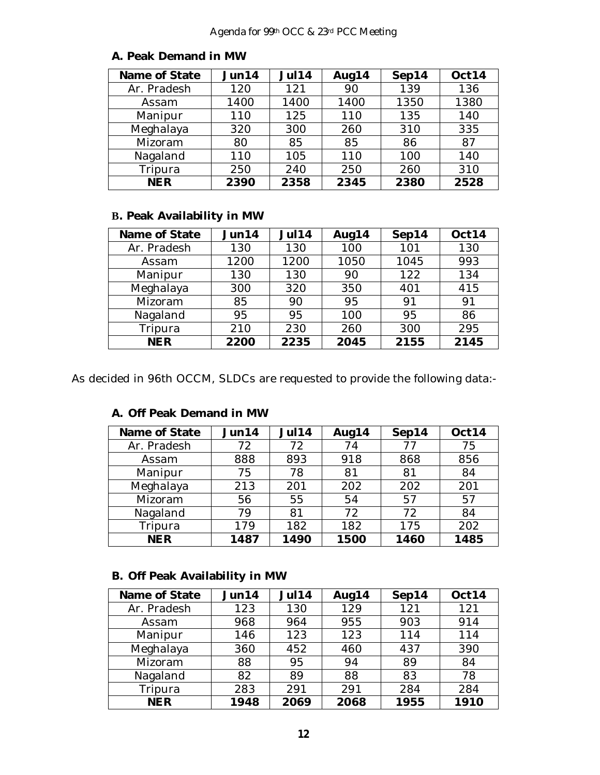| Name of State | Jun14 | Jul14 | Aug14 | Sep14 | Oct14 |
|---------------|-------|-------|-------|-------|-------|
| Ar. Pradesh   | 120   | 121   | 90    | 139   | 136   |
| Assam         | 1400  | 1400  | 1400  | 1350  | 1380  |
| Manipur       | 110   | 125   | 110   | 135   | 140   |
| Meghalaya     | 320   | 300   | 260   | 310   | 335   |
| Mizoram       | 80    | 85    | 85    | 86    | 87    |
| Nagaland      | 110   | 105   | 110   | 100   | 140   |
| Tripura       | 250   | 240   | 250   | 260   | 310   |
| <b>NER</b>    | 2390  | 2358  | 2345  | 2380  | 2528  |

#### **A. Peak Demand in MW**

## **B. Peak Availability in MW**

| Name of State | Jun14 | Jul14 | Aug14 | Sep14 | Oct14 |
|---------------|-------|-------|-------|-------|-------|
| Ar. Pradesh   | 130   | 130   | 100   | 101   | 130   |
| Assam         | 1200  | 1200  | 1050  | 1045  | 993   |
| Manipur       | 130   | 130   | 90    | 122   | 134   |
| Meghalaya     | 300   | 320   | 350   | 401   | 415   |
| Mizoram       | 85    | 90    | 95    | 91    | 91    |
| Nagaland      | 95    | 95    | 100   | 95    | 86    |
| Tripura       | 210   | 230   | 260   | 300   | 295   |
| <b>NER</b>    | 2200  | 2235  | 2045  | 2155  | 2145  |

As decided in 96th OCCM, SLDCs are requested to provide the following data:-

| Name of State | Jun14 | <b>Jul14</b> | Aug14 | Sep14 | Oct14 |
|---------------|-------|--------------|-------|-------|-------|
| Ar. Pradesh   | 72    | 72           | 74    | 77    | 75    |
| Assam         | 888   | 893          | 918   | 868   | 856   |
| Manipur       | 75    | 78           | 81    | 81    | 84    |
| Meghalaya     | 213   | 201          | 202   | 202   | 201   |
| Mizoram       | 56    | 55           | 54    | 57    | 57    |
| Nagaland      | 79    | 81           | 72    | 72    | 84    |
| Tripura       | 179   | 182          | 182   | 175   | 202   |
| <b>NER</b>    | 1487  | 1490         | 1500  | 1460  | 1485  |

## **A. Off Peak Demand in MW**

## **B. Off Peak Availability in MW**

| Name of State | Jun14 | Jul14 | Aug14 | Sep14 | Oct14 |
|---------------|-------|-------|-------|-------|-------|
| Ar. Pradesh   | 123   | 130   | 129   | 121   | 121   |
| Assam         | 968   | 964   | 955   | 903   | 914   |
| Manipur       | 146   | 123   | 123   | 114   | 114   |
| Meghalaya     | 360   | 452   | 460   | 437   | 390   |
| Mizoram       | 88    | 95    | 94    | 89    | 84    |
| Nagaland      | 82    | 89    | 88    | 83    | 78    |
| Tripura       | 283   | 291   | 291   | 284   | 284   |
| <b>NER</b>    | 1948  | 2069  | 2068  | 1955  | 1910  |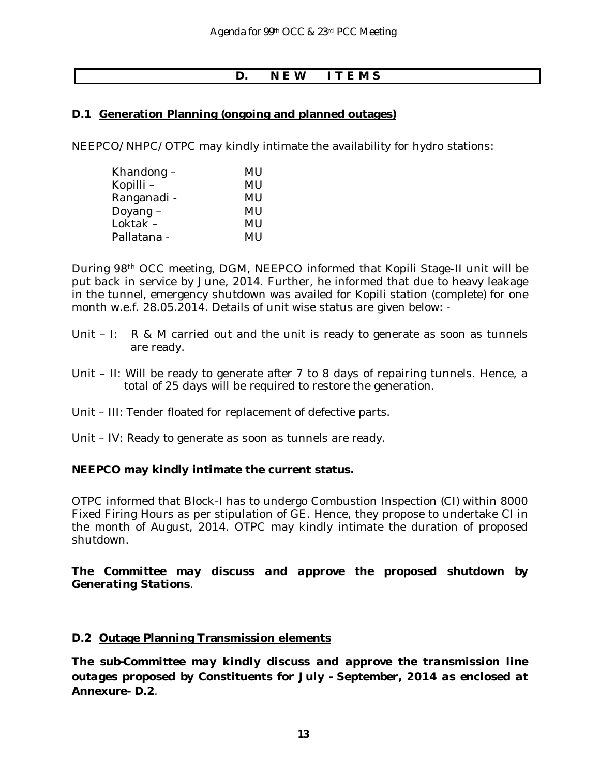## **D. N E W I T E M S**

#### **D.1 Generation Planning (ongoing and planned outages)**

NEEPCO/NHPC/OTPC may kindly intimate the availability for hydro stations:

| MU |
|----|
| MU |
| MU |
| MU |
| MU |
| MU |
|    |

During 98th OCC meeting, DGM, NEEPCO informed that Kopili Stage-II unit will be put back in service by June, 2014. Further, he informed that due to heavy leakage in the tunnel, emergency shutdown was availed for Kopili station (complete) for one month w.e.f. 28.05.2014. Details of unit wise status are given below: -

- Unit  $-1$ : R & M carried out and the unit is ready to generate as soon as tunnels are ready.
- Unit II: Will be ready to generate after 7 to 8 days of repairing tunnels. Hence, a total of 25 days will be required to restore the generation.
- Unit III: Tender floated for replacement of defective parts.
- Unit IV: Ready to generate as soon as tunnels are ready.

#### **NEEPCO may kindly intimate the current status.**

OTPC informed that Block-I has to undergo Combustion Inspection (CI) within 8000 Fixed Firing Hours as per stipulation of GE. Hence, they propose to undertake CI in the month of August, 2014. OTPC may kindly intimate the duration of proposed shutdown.

*The Committee may discuss and approve the proposed shutdown by Generating Stations*.

#### **D.2 Outage Planning Transmission elements**

*The sub-Committee may kindly discuss and approve the transmission line outages proposed by Constituents for July - September, 2014 as enclosed at* **Annexure- D.2**.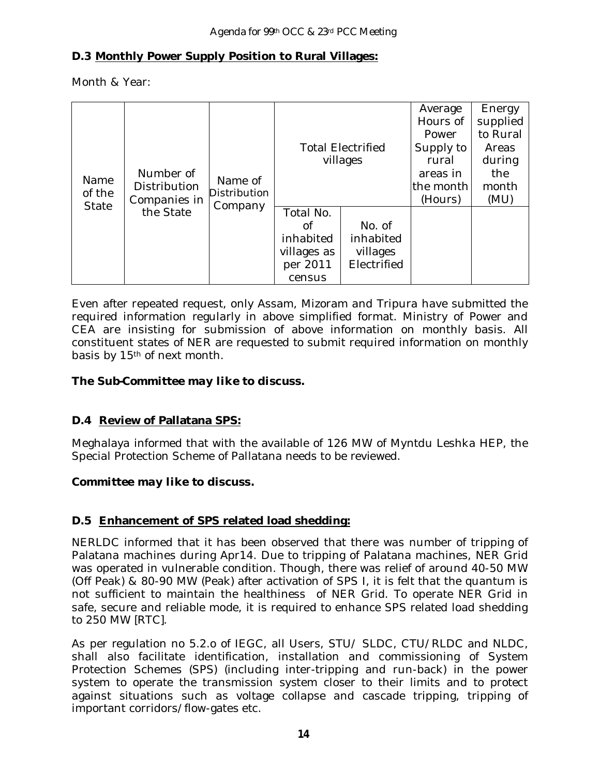## **D.3 Monthly Power Supply Position to Rural Villages:**

Month & Year:

| Name<br>of the | Number of<br>Distribution<br>Companies in | Name of<br>Distribution |                                                                   | <b>Total Electrified</b><br>villages           | Average<br>Hours of<br>Power<br>Supply to<br>rural<br>areas in<br>the month<br>(Hours) | Energy<br>supplied<br>to Rural<br>Areas<br>during<br>the<br>month<br>(MU) |
|----------------|-------------------------------------------|-------------------------|-------------------------------------------------------------------|------------------------------------------------|----------------------------------------------------------------------------------------|---------------------------------------------------------------------------|
| State          | the State                                 | Company                 | Total No.<br>Οf<br>inhabited<br>villages as<br>per 2011<br>census | No. of<br>inhabited<br>villages<br>Electrified |                                                                                        |                                                                           |

Even after repeated request, only Assam, Mizoram and Tripura have submitted the required information regularly in above simplified format. Ministry of Power and CEA are insisting for submission of above information on monthly basis. All constituent states of NER are requested to submit required information on monthly basis by 15<sup>th</sup> of next month.

## *The Sub-Committee may like to discuss.*

## **D.4 Review of Pallatana SPS:**

Meghalaya informed that with the available of 126 MW of Myntdu Leshka HEP, the Special Protection Scheme of Pallatana needs to be reviewed.

## *Committee may like to discuss.*

## **D.5 Enhancement of SPS related load shedding:**

NERLDC informed that it has been observed that there was number of tripping of Palatana machines during Apr14. Due to tripping of Palatana machines, NER Grid was operated in vulnerable condition. Though, there was relief of around 40-50 MW (Off Peak) & 80-90 MW (Peak) after activation of SPS I, it is felt that the quantum is not sufficient to maintain the healthiness of NER Grid. To operate NER Grid in safe, secure and reliable mode, it is required to enhance SPS related load shedding to 250 MW [RTC].

As per regulation no 5.2.o of IEGC, all Users, STU/ SLDC, CTU/RLDC and NLDC, shall also facilitate identification, installation and commissioning of System Protection Schemes (SPS) (including inter-tripping and run-back) in the power system to operate the transmission system closer to their limits and to protect against situations such as voltage collapse and cascade tripping, tripping of important corridors/flow-gates etc.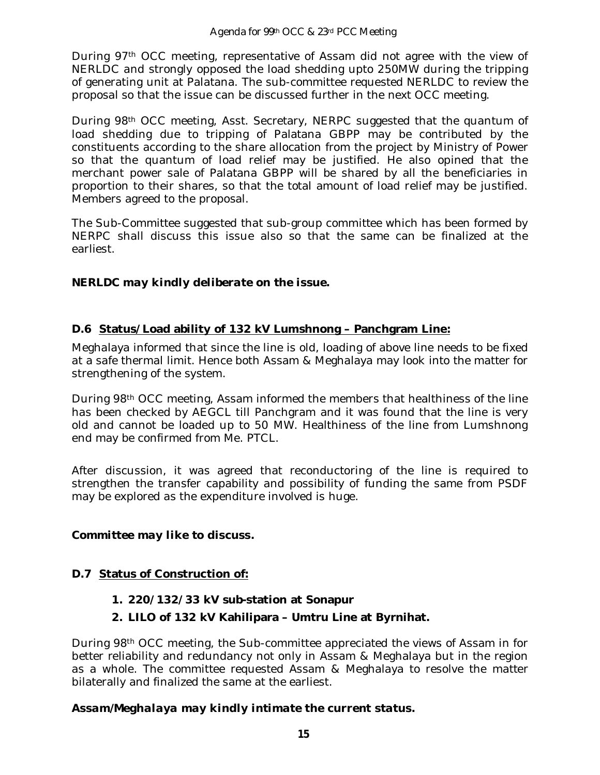During 97th OCC meeting, representative of Assam did not agree with the view of NERLDC and strongly opposed the load shedding upto 250MW during the tripping of generating unit at Palatana. The sub-committee requested NERLDC to review the proposal so that the issue can be discussed further in the next OCC meeting.

During 98th OCC meeting, Asst. Secretary, NERPC suggested that the quantum of load shedding due to tripping of Palatana GBPP may be contributed by the constituents according to the share allocation from the project by Ministry of Power so that the quantum of load relief may be justified. He also opined that the merchant power sale of Palatana GBPP will be shared by all the beneficiaries in proportion to their shares, so that the total amount of load relief may be justified. Members agreed to the proposal.

The Sub-Committee suggested that sub-group committee which has been formed by NERPC shall discuss this issue also so that the same can be finalized at the earliest.

## *NERLDC may kindly deliberate on the issue.*

## **D.6 Status/Load ability of 132 kV Lumshnong – Panchgram Line:**

Meghalaya informed that since the line is old, loading of above line needs to be fixed at a safe thermal limit. Hence both Assam & Meghalaya may look into the matter for strengthening of the system.

During 98th OCC meeting, Assam informed the members that healthiness of the line has been checked by AEGCL till Panchgram and it was found that the line is very old and cannot be loaded up to 50 MW. Healthiness of the line from Lumshnong end may be confirmed from Me. PTCL.

After discussion, it was agreed that reconductoring of the line is required to strengthen the transfer capability and possibility of funding the same from PSDF may be explored as the expenditure involved is huge.

## *Committee may like to discuss.*

## **D.7 Status of Construction of:**

- **1. 220/132/33 kV sub-station at Sonapur**
- **2. LILO of 132 kV Kahilipara – Umtru Line at Byrnihat.**

During 98th OCC meeting, the Sub-committee appreciated the views of Assam in for better reliability and redundancy not only in Assam & Meghalaya but in the region as a whole. The committee requested Assam & Meghalaya to resolve the matter bilaterally and finalized the same at the earliest.

## *Assam/Meghalaya may kindly intimate the current status.*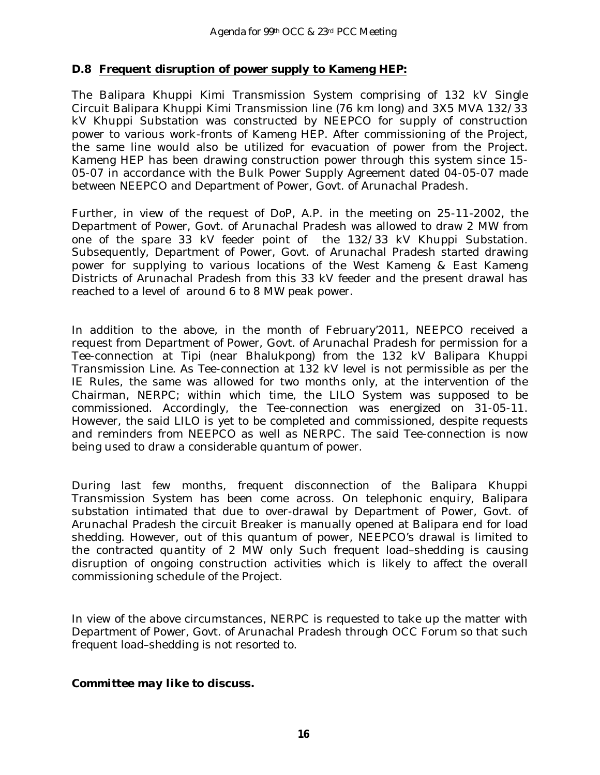## **D.8 Frequent disruption of power supply to Kameng HEP:**

The Balipara Khuppi Kimi Transmission System comprising of 132 kV Single Circuit Balipara Khuppi Kimi Transmission line (76 km long) and 3X5 MVA 132/33 kV Khuppi Substation was constructed by NEEPCO for supply of construction power to various work-fronts of Kameng HEP. After commissioning of the Project, the same line would also be utilized for evacuation of power from the Project. Kameng HEP has been drawing construction power through this system since 15- 05-07 in accordance with the Bulk Power Supply Agreement dated 04-05-07 made between NEEPCO and Department of Power, Govt. of Arunachal Pradesh.

Further, in view of the request of DoP, A.P. in the meeting on 25-11-2002, the Department of Power, Govt. of Arunachal Pradesh was allowed to draw 2 MW from one of the spare 33 kV feeder point of the 132/33 kV Khuppi Substation. Subsequently, Department of Power, Govt. of Arunachal Pradesh started drawing power for supplying to various locations of the West Kameng & East Kameng Districts of Arunachal Pradesh from this 33 kV feeder and the present drawal has reached to a level of around 6 to 8 MW peak power.

In addition to the above, in the month of February'2011, NEEPCO received a request from Department of Power, Govt. of Arunachal Pradesh for permission for a Tee-connection at Tipi (near Bhalukpong) from the 132 kV Balipara Khuppi Transmission Line. As Tee-connection at 132 kV level is not permissible as per the IE Rules, the same was allowed for two months only, at the intervention of the Chairman, NERPC; within which time, the LILO System was supposed to be commissioned. Accordingly, the Tee-connection was energized on 31-05-11. However, the said LILO is yet to be completed and commissioned, despite requests and reminders from NEEPCO as well as NERPC. The said Tee-connection is now being used to draw a considerable quantum of power.

During last few months, frequent disconnection of the Balipara Khuppi Transmission System has been come across. On telephonic enquiry, Balipara substation intimated that due to over-drawal by Department of Power, Govt. of Arunachal Pradesh the circuit Breaker is manually opened at Balipara end for load shedding. However, out of this quantum of power, NEEPCO's drawal is limited to the contracted quantity of 2 MW only Such frequent load–shedding is causing disruption of ongoing construction activities which is likely to affect the overall commissioning schedule of the Project.

In view of the above circumstances, NERPC is requested to take up the matter with Department of Power, Govt. of Arunachal Pradesh through OCC Forum so that such frequent load–shedding is not resorted to.

## *Committee may like to discuss.*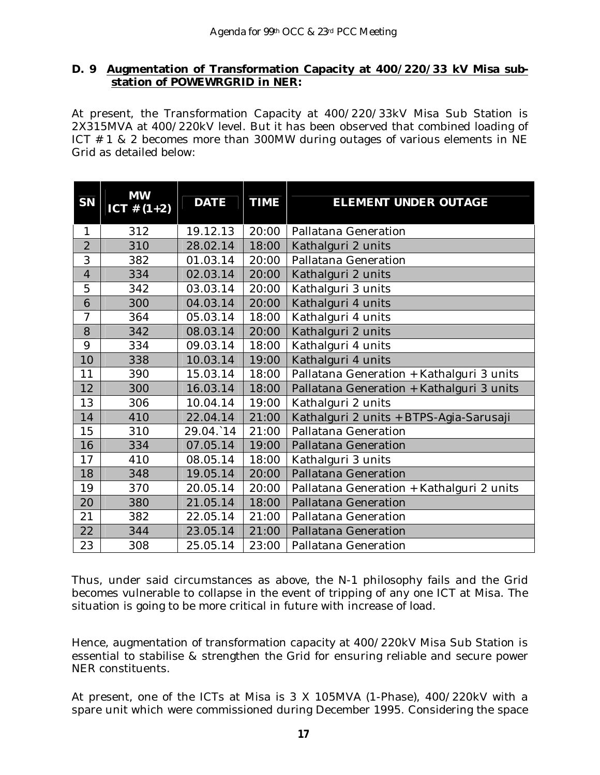#### **D. 9 Augmentation of Transformation Capacity at 400/220/33 kV Misa substation of POWEWRGRID in NER:**

At present, the Transformation Capacity at 400/220/33kV Misa Sub Station is 2X315MVA at 400/220kV level. But it has been observed that combined loading of ICT # 1 & 2 becomes more than 300MW during outages of various elements in NE Grid as detailed below:

| <b>SN</b>      | <b>MW</b><br>ICT # $(1+2)$ | <b>DATE</b> | <b>TIME</b> | <b>ELEMENT UNDER OUTAGE</b>               |  |
|----------------|----------------------------|-------------|-------------|-------------------------------------------|--|
| 1              | 312                        | 19.12.13    | 20:00       | Pallatana Generation                      |  |
| $\overline{2}$ | 310                        | 28.02.14    | 18:00       | Kathalguri 2 units                        |  |
| 3              | 382                        | 01.03.14    | 20:00       | Pallatana Generation                      |  |
| $\overline{4}$ | 334                        | 02.03.14    | 20:00       | Kathalguri 2 units                        |  |
| 5              | 342                        | 03.03.14    | 20:00       | Kathalguri 3 units                        |  |
| 6              | 300                        | 04.03.14    | 20:00       | Kathalguri 4 units                        |  |
| $\overline{7}$ | 364                        | 05.03.14    | 18:00       | Kathalguri 4 units                        |  |
| 8              | 342                        | 08.03.14    | 20:00       | Kathalguri 2 units                        |  |
| 9              | 334                        | 09.03.14    | 18:00       | Kathalguri 4 units                        |  |
| 10             | 338                        | 10.03.14    | 19:00       | Kathalguri 4 units                        |  |
| 11             | 390                        | 15.03.14    | 18:00       | Pallatana Generation + Kathalguri 3 units |  |
| 12             | 300                        | 16.03.14    | 18:00       | Pallatana Generation + Kathalguri 3 units |  |
| 13             | 306                        | 10.04.14    | 19:00       | Kathalguri 2 units                        |  |
| 14             | 410                        | 22.04.14    | 21:00       | Kathalguri 2 units + BTPS-Agia-Sarusaji   |  |
| 15             | 310                        | 29.04.14    | 21:00       | Pallatana Generation                      |  |
| 16             | 334                        | 07.05.14    | 19:00       | Pallatana Generation                      |  |
| 17             | 410                        | 08.05.14    | 18:00       | Kathalguri 3 units                        |  |
| 18             | 348                        | 19.05.14    | 20:00       | Pallatana Generation                      |  |
| 19             | 370                        | 20.05.14    | 20:00       | Pallatana Generation + Kathalguri 2 units |  |
| 20             | 380                        | 21.05.14    | 18:00       | Pallatana Generation                      |  |
| 21             | 382                        | 22.05.14    | 21:00       | Pallatana Generation                      |  |
| 22             | 344                        | 23.05.14    | 21:00       | Pallatana Generation                      |  |
| 23             | 308                        | 25.05.14    | 23:00       | Pallatana Generation                      |  |

Thus, under said circumstances as above, the N-1 philosophy fails and the Grid becomes vulnerable to collapse in the event of tripping of any one ICT at Misa. The situation is going to be more critical in future with increase of load.

Hence, augmentation of transformation capacity at 400/220kV Misa Sub Station is essential to stabilise & strengthen the Grid for ensuring reliable and secure power NER constituents.

At present, one of the ICTs at Misa is 3 X 105MVA (1-Phase), 400/220kV with a spare unit which were commissioned during December 1995. Considering the space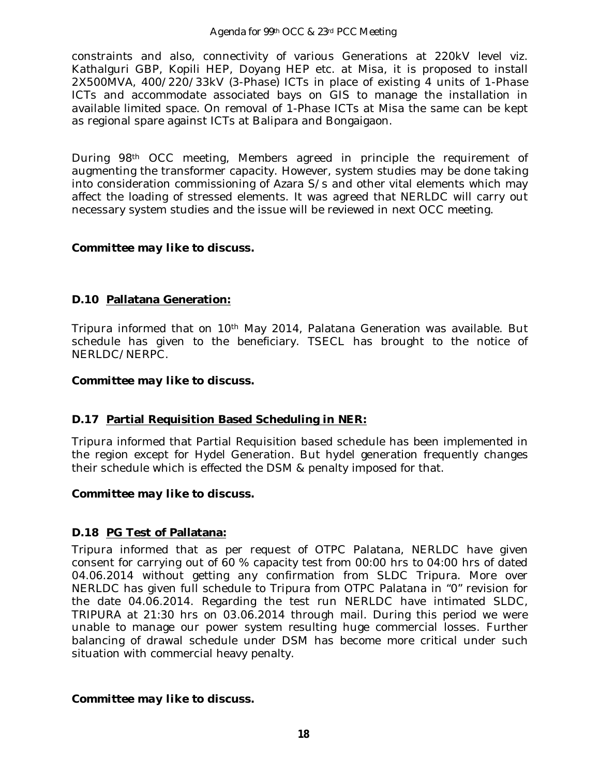#### Agenda for 99th OCC & 23rd PCC Meeting

constraints and also, connectivity of various Generations at 220kV level viz. Kathalguri GBP, Kopili HEP, Doyang HEP etc. at Misa, it is proposed to install 2X500MVA, 400/220/33kV (3-Phase) ICTs in place of existing 4 units of 1-Phase ICTs and accommodate associated bays on GIS to manage the installation in available limited space. On removal of 1-Phase ICTs at Misa the same can be kept as regional spare against ICTs at Balipara and Bongaigaon.

During 98th OCC meeting, Members agreed in principle the requirement of augmenting the transformer capacity. However, system studies may be done taking into consideration commissioning of Azara S/s and other vital elements which may affect the loading of stressed elements. It was agreed that NERLDC will carry out necessary system studies and the issue will be reviewed in next OCC meeting.

#### *Committee may like to discuss.*

## **D.10 Pallatana Generation:**

Tripura informed that on 10th May 2014, Palatana Generation was available. But schedule has given to the beneficiary. TSECL has brought to the notice of NERLDC/NERPC.

#### *Committee may like to discuss.*

## **D.17 Partial Requisition Based Scheduling in NER:**

Tripura informed that Partial Requisition based schedule has been implemented in the region except for Hydel Generation. But hydel generation frequently changes their schedule which is effected the DSM & penalty imposed for that.

#### *Committee may like to discuss.*

## **D.18 PG Test of Pallatana:**

Tripura informed that as per request of OTPC Palatana, NERLDC have given consent for carrying out of 60 % capacity test from 00:00 hrs to 04:00 hrs of dated 04.06.2014 without getting any confirmation from SLDC Tripura. More over NERLDC has given full schedule to Tripura from OTPC Palatana in "0" revision for the date 04.06.2014. Regarding the test run NERLDC have intimated SLDC, TRIPURA at 21:30 hrs on 03.06.2014 through mail. During this period we were unable to manage our power system resulting huge commercial losses. Further balancing of drawal schedule under DSM has become more critical under such situation with commercial heavy penalty.

*Committee may like to discuss.*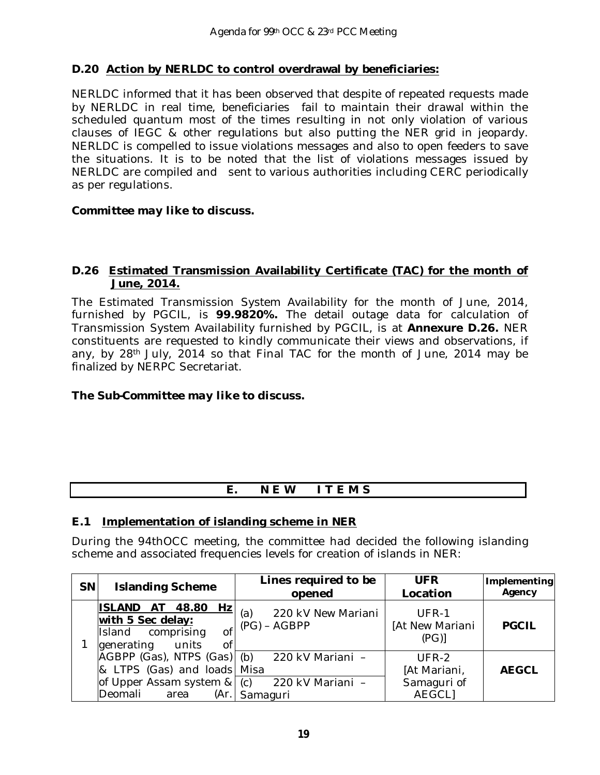## **D.20 Action by NERLDC to control overdrawal by beneficiaries:**

NERLDC informed that it has been observed that despite of repeated requests made by NERLDC in real time, beneficiaries fail to maintain their drawal within the scheduled quantum most of the times resulting in not only violation of various clauses of IEGC & other regulations but also putting the NER grid in jeopardy. NERLDC is compelled to issue violations messages and also to open feeders to save the situations. It is to be noted that the list of violations messages issued by NERLDC are compiled and sent to various authorities including CERC periodically as per regulations.

#### *Committee may like to discuss.*

#### **D.26 Estimated Transmission Availability Certificate (TAC) for the month of June, 2014.**

The Estimated Transmission System Availability for the month of June, 2014, furnished by PGCIL, is **99.9820%.** The detail outage data for calculation of Transmission System Availability furnished by PGCIL, is at **Annexure D.26.** NER constituents are requested to kindly communicate their views and observations, if any, by 28<sup>th</sup> July, 2014 so that Final TAC for the month of June, 2014 may be finalized by NERPC Secretariat.

## *The Sub-Committee may like to discuss.*

## **E. N E W I T E M S**

## **E.1 Implementation of islanding scheme in NER**

During the 94thOCC meeting, the committee had decided the following islanding scheme and associated frequencies levels for creation of islands in NER:

| <b>SN</b> | <b>Islanding Scheme</b>                                                                                                                         | Lines required to be<br>opened              | <b>UFR</b><br>Location                                  | Implementing<br>Agency |
|-----------|-------------------------------------------------------------------------------------------------------------------------------------------------|---------------------------------------------|---------------------------------------------------------|------------------------|
|           | <b>ISLAND</b><br>48.80<br>Hz<br>AT<br>with 5 Sec delay:<br>of<br>Island comprising<br>generating units<br><sub>Of</sub>                         | 220 kV New Mariani<br>(a)<br>$(PG) - AGBPP$ | UFR-1<br>[At New Mariani<br>(PG)                        | <b>PGCIL</b>           |
|           | AGBPP (Gas), NTPS (Gas) (b) 220 kV Mariani -<br>& LTPS (Gas) and loads Misa<br>of Upper Assam system $&(c)$ 220 kV Mariani –<br>Deomali<br>area | (Ar. Samaguri                               | $UFR-2$<br>[At Mariani,<br>Samaguri of<br><b>AEGCLI</b> | <b>AEGCL</b>           |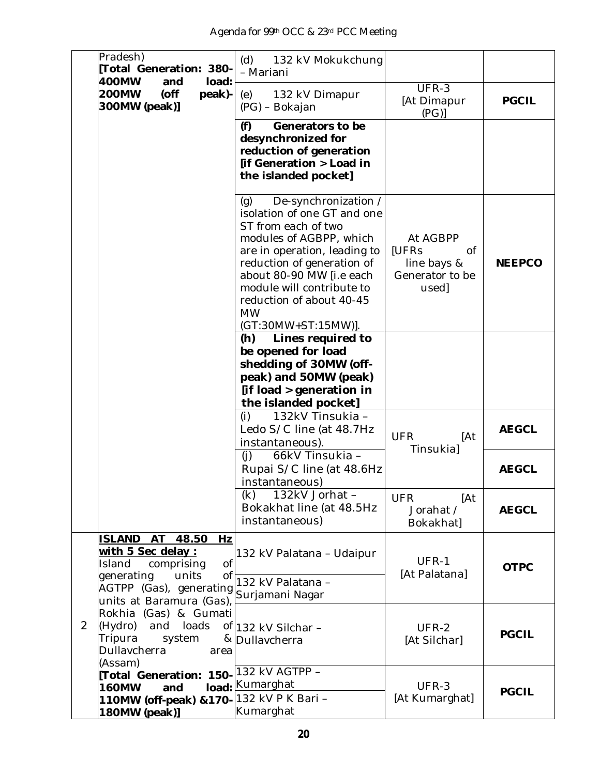| Pradesh)<br>Total Generation: 380-<br>400MW<br>load:                                                                                      | (d)<br>132 kV Mokukchung<br>- Mariani                                                                                                                                                                                                                                                               |                                                                           |               |
|-------------------------------------------------------------------------------------------------------------------------------------------|-----------------------------------------------------------------------------------------------------------------------------------------------------------------------------------------------------------------------------------------------------------------------------------------------------|---------------------------------------------------------------------------|---------------|
| and<br><b>200MW</b><br>$($ off<br>peak)-<br>300MW (peak)]                                                                                 | 132 kV Dimapur<br>(e)<br>(PG) – Bokajan                                                                                                                                                                                                                                                             | UFR-3<br>[At Dimapur<br>(PG)                                              | <b>PGCIL</b>  |
|                                                                                                                                           | (f)<br>Generators to be<br>desynchronized for<br>reduction of generation<br>[if Generation > Load in<br>the islanded pocket]                                                                                                                                                                        |                                                                           |               |
|                                                                                                                                           | De-synchronization /<br>(g)<br>isolation of one GT and one<br>ST from each of two<br>modules of AGBPP, which<br>are in operation, leading to<br>reduction of generation of<br>about 80-90 MW [i.e each<br>module will contribute to<br>reduction of about 40-45<br><b>MW</b><br>(GT:30MW+ST:15MW)]. | At AGBPP<br><b>IUFRs</b><br>0f<br>line bays &<br>Generator to be<br>used] | <b>NEEPCO</b> |
|                                                                                                                                           | Lines required to<br>(h)<br>be opened for load<br>shedding of 30MW (off-<br>peak) and 50MW (peak)<br>[if load > generation in<br>the islanded pocket]                                                                                                                                               |                                                                           |               |
|                                                                                                                                           | 132kV Tinsukia -<br>(i)<br>Ledo S/C line (at 48.7Hz<br>instantaneous).                                                                                                                                                                                                                              | <b>UFR</b><br>[At<br>Tinsukia]                                            | <b>AEGCL</b>  |
|                                                                                                                                           | (i)<br>66kV Tinsukia -<br>Rupai S/C line (at 48.6Hz<br>instantaneous)                                                                                                                                                                                                                               |                                                                           | <b>AEGCL</b>  |
|                                                                                                                                           | 132kV Jorhat -<br>(k)<br>Bokakhat line (at 48.5Hz<br>instantaneous)                                                                                                                                                                                                                                 | <b>UFR</b><br>[At<br>Jorahat /<br>Bokakhat]                               | <b>AEGCL</b>  |
| ISLAND AT 48.50<br>Hz<br>with 5 Sec delay :<br>0f<br>comprising<br>Island<br>generating<br>units<br>0f<br>AGTPP (Gas), generating         | 132 kV Palatana – Udaipur<br>132 kV Palatana -<br>Surjamani Nagar                                                                                                                                                                                                                                   | UFR-1<br>[At Palatana]                                                    | <b>OTPC</b>   |
| units at Baramura (Gas),<br>Rokhia (Gas) & Gumati<br>2<br>(Hydro)<br>loads<br>and<br>Tripura<br>system<br>Dullavcherra<br>area<br>(Assam) | of 132 kV Silchar -<br>& Dullavcherra                                                                                                                                                                                                                                                               | UFR-2<br>[At Silchar]                                                     | <b>PGCIL</b>  |
| Total Generation: 150-<br><b>160MW</b><br>and<br>110MW (off-peak) & 170- 132 kV P K Bari -<br>180MW (peak)]                               | 132 kV AGTPP -<br>load: Kumarghat<br>Kumarghat                                                                                                                                                                                                                                                      | UFR-3<br>[At Kumarghat]                                                   | <b>PGCIL</b>  |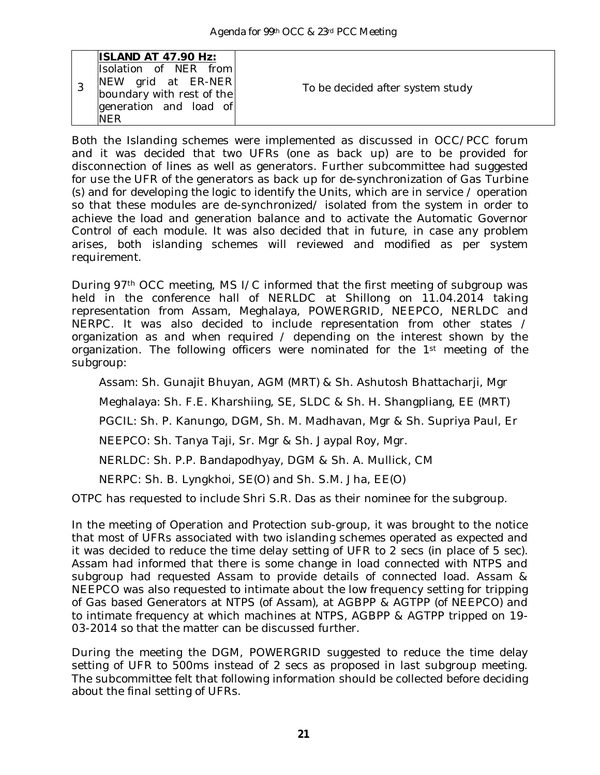|  | <b>ISLAND AT 47.90 Hz:</b><br>Isolation of NER from<br>NEW grid at ER-NER<br>boundary with rest of the | To be decided after system study |
|--|--------------------------------------------------------------------------------------------------------|----------------------------------|
|  | generation and load of<br><b>NFR</b>                                                                   |                                  |

Both the Islanding schemes were implemented as discussed in OCC/PCC forum and it was decided that two UFRs (one as back up) are to be provided for disconnection of lines as well as generators. Further subcommittee had suggested for use the UFR of the generators as back up for de-synchronization of Gas Turbine (s) and for developing the logic to identify the Units, which are in service / operation so that these modules are de-synchronized/ isolated from the system in order to achieve the load and generation balance and to activate the Automatic Governor Control of each module. It was also decided that in future, in case any problem arises, both islanding schemes will reviewed and modified as per system requirement.

During 97th OCC meeting, MS I/C informed that the first meeting of subgroup was held in the conference hall of NERLDC at Shillong on 11.04.2014 taking representation from Assam, Meghalaya, POWERGRID, NEEPCO, NERLDC and NERPC. It was also decided to include representation from other states / organization as and when required / depending on the interest shown by the organization. The following officers were nominated for the 1st meeting of the subgroup:

Assam: Sh. Gunajit Bhuyan, AGM (MRT) & Sh. Ashutosh Bhattacharji, Mgr

Meghalaya: Sh. F.E. Kharshiing, SE, SLDC & Sh. H. Shangpliang, EE (MRT)

PGCIL: Sh. P. Kanungo, DGM, Sh. M. Madhavan, Mgr & Sh. Supriya Paul, Er

NEEPCO: Sh. Tanya Taji, Sr. Mgr & Sh. Jaypal Roy, Mgr.

NERLDC: Sh. P.P. Bandapodhyay, DGM & Sh. A. Mullick, CM

NERPC: Sh. B. Lyngkhoi, SE(O) and Sh. S.M. Jha, EE(O)

OTPC has requested to include Shri S.R. Das as their nominee for the subgroup.

In the meeting of Operation and Protection sub-group, it was brought to the notice that most of UFRs associated with two islanding schemes operated as expected and it was decided to reduce the time delay setting of UFR to 2 secs (in place of 5 sec). Assam had informed that there is some change in load connected with NTPS and subgroup had requested Assam to provide details of connected load. Assam & NEEPCO was also requested to intimate about the low frequency setting for tripping of Gas based Generators at NTPS (of Assam), at AGBPP & AGTPP (of NEEPCO) and to intimate frequency at which machines at NTPS, AGBPP & AGTPP tripped on 19- 03-2014 so that the matter can be discussed further.

During the meeting the DGM, POWERGRID suggested to reduce the time delay setting of UFR to 500ms instead of 2 secs as proposed in last subgroup meeting. The subcommittee felt that following information should be collected before deciding about the final setting of UFRs.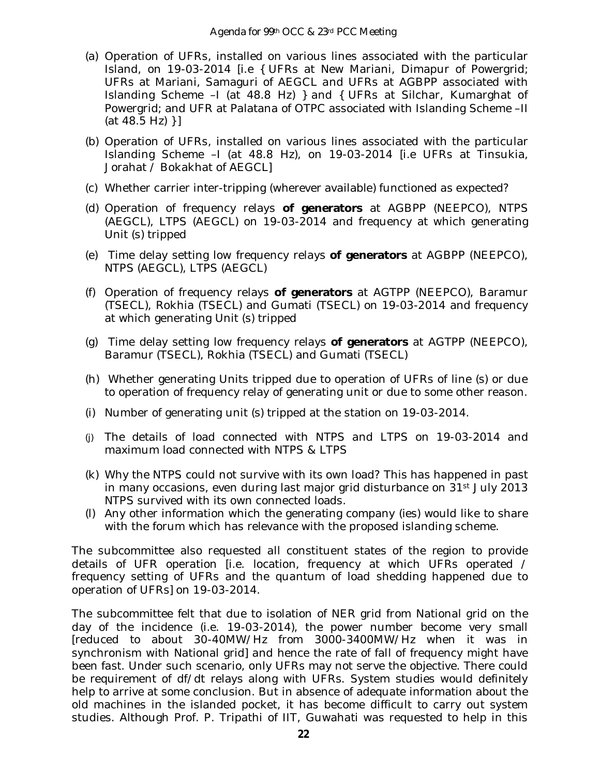- (a) Operation of UFRs, installed on various lines associated with the particular Island, on 19-03-2014 [i.e { UFRs at New Mariani, Dimapur of Powergrid; UFRs at Mariani, Samaguri of AEGCL and UFRs at AGBPP associated with Islanding Scheme –I (at 48.8 Hz) } and { UFRs at Silchar, Kumarghat of Powergrid; and UFR at Palatana of OTPC associated with Islanding Scheme –II  $(at 48.5 Hz)$  } ]
- (b) Operation of UFRs, installed on various lines associated with the particular Islanding Scheme –I (at 48.8 Hz), on 19-03-2014 [i.e UFRs at Tinsukia, Jorahat / Bokakhat of AEGCL]
- (c) Whether carrier inter-tripping (wherever available) functioned as expected?
- (d) Operation of frequency relays **of generators** at AGBPP (NEEPCO), NTPS (AEGCL), LTPS (AEGCL) on 19-03-2014 and frequency at which generating Unit (s) tripped
- (e) Time delay setting low frequency relays **of generators** at AGBPP (NEEPCO), NTPS (AEGCL), LTPS (AEGCL)
- (f) Operation of frequency relays **of generators** at AGTPP (NEEPCO), Baramur (TSECL), Rokhia (TSECL) and Gumati (TSECL) on 19-03-2014 and frequency at which generating Unit (s) tripped
- (g) Time delay setting low frequency relays **of generators** at AGTPP (NEEPCO), Baramur (TSECL), Rokhia (TSECL) and Gumati (TSECL)
- (h) Whether generating Units tripped due to operation of UFRs of line (s) or due to operation of frequency relay of generating unit or due to some other reason.
- (i) Number of generating unit (s) tripped at the station on 19-03-2014.
- (j) The details of load connected with NTPS and LTPS on 19-03-2014 and maximum load connected with NTPS & LTPS
- (k) Why the NTPS could not survive with its own load? This has happened in past in many occasions, even during last major grid disturbance on 31<sup>st</sup> July 2013 NTPS survived with its own connected loads.
- (l) Any other information which the generating company (ies) would like to share with the forum which has relevance with the proposed islanding scheme.

The subcommittee also requested all constituent states of the region to provide details of UFR operation [i.e. location, frequency at which UFRs operated / frequency setting of UFRs and the quantum of load shedding happened due to operation of UFRs] on 19-03-2014.

The subcommittee felt that due to isolation of NER grid from National grid on the day of the incidence (i.e. 19-03-2014), the power number become very small [reduced to about 30-40MW/Hz from 3000-3400MW/Hz when it was in synchronism with National grid] and hence the rate of fall of frequency might have been fast. Under such scenario, only UFRs may not serve the objective. There could be requirement of df/dt relays along with UFRs. System studies would definitely help to arrive at some conclusion. But in absence of adequate information about the old machines in the islanded pocket, it has become difficult to carry out system studies. Although Prof. P. Tripathi of IIT, Guwahati was requested to help in this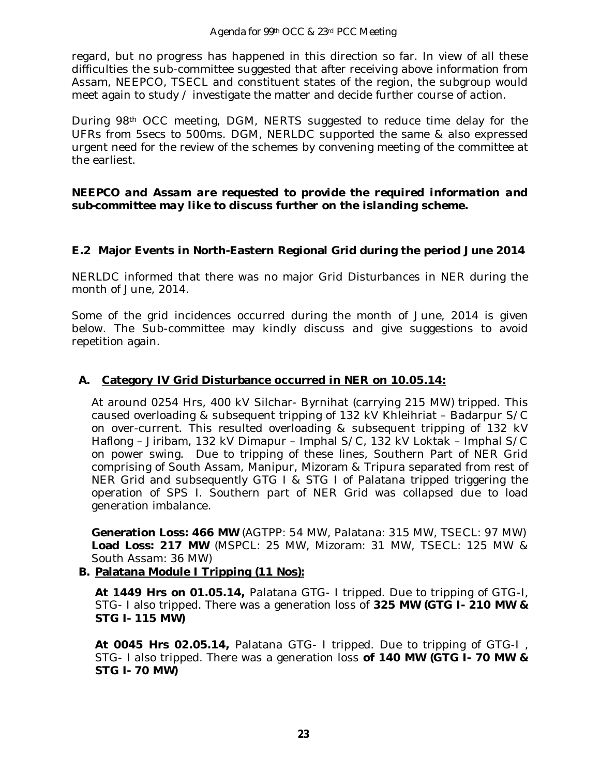#### Agenda for 99th OCC & 23rd PCC Meeting

regard, but no progress has happened in this direction so far. In view of all these difficulties the sub-committee suggested that after receiving above information from Assam, NEEPCO, TSECL and constituent states of the region, the subgroup would meet again to study / investigate the matter and decide further course of action.

During 98th OCC meeting, DGM, NERTS suggested to reduce time delay for the UFRs from 5secs to 500ms. DGM, NERLDC supported the same & also expressed urgent need for the review of the schemes by convening meeting of the committee at the earliest.

#### *NEEPCO and Assam are requested to provide the required information and sub-committee may like to discuss further on the islanding scheme.*

#### **E.2 Major Events in North-Eastern Regional Grid during the period June 2014**

NERLDC informed that there was no major Grid Disturbances in NER during the month of June, 2014.

Some of the grid incidences occurred during the month of June, 2014 is given below. The Sub-committee may kindly discuss and give suggestions to avoid repetition again.

#### **A. Category IV Grid Disturbance occurred in NER on 10.05.14:**

At around 0254 Hrs, 400 kV Silchar- Byrnihat (carrying 215 MW) tripped. This caused overloading & subsequent tripping of 132 kV Khleihriat – Badarpur S/C on over-current. This resulted overloading & subsequent tripping of 132 kV Haflong – Jiribam, 132 kV Dimapur – Imphal S/C, 132 kV Loktak – Imphal S/C on power swing. Due to tripping of these lines, Southern Part of NER Grid comprising of South Assam, Manipur, Mizoram & Tripura separated from rest of NER Grid and subsequently GTG I & STG I of Palatana tripped triggering the operation of SPS I. Southern part of NER Grid was collapsed due to load generation imbalance.

**Generation Loss: 466 MW** (AGTPP: 54 MW, Palatana: 315 MW, TSECL: 97 MW) **Load Loss: 217 MW** (MSPCL: 25 MW, Mizoram: 31 MW, TSECL: 125 MW & South Assam: 36 MW)

## **B. Palatana Module I Tripping (11 Nos):**

**At 1449 Hrs on 01.05.14,** Palatana GTG- I tripped. Due to tripping of GTG-I, STG- I also tripped. There was a generation loss of **325 MW (GTG I- 210 MW & STG I- 115 MW)**

**At 0045 Hrs 02.05.14,** Palatana GTG- I tripped. Due to tripping of GTG-I , STG- I also tripped. There was a generation loss **of 140 MW (GTG I- 70 MW & STG I- 70 MW)**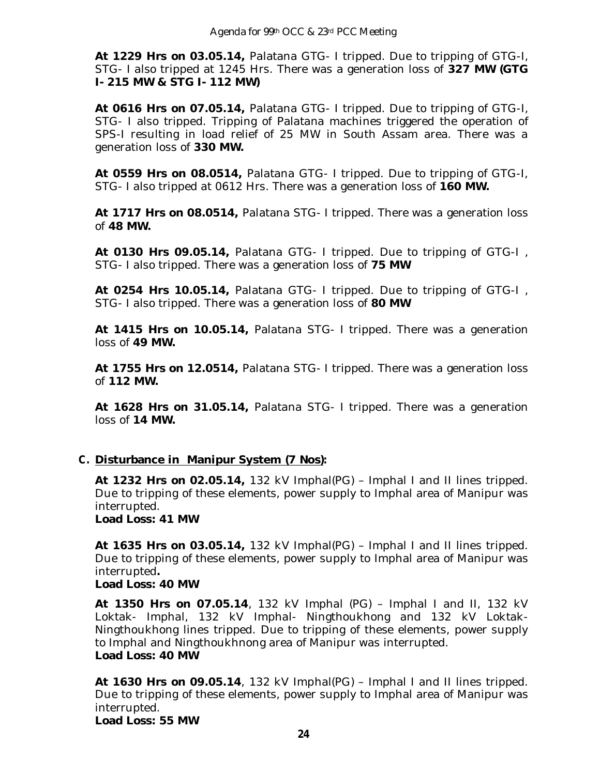**At 1229 Hrs on 03.05.14,** Palatana GTG- I tripped. Due to tripping of GTG-I, STG- I also tripped at 1245 Hrs. There was a generation loss of **327 MW (GTG I- 215 MW & STG I- 112 MW)**

**At 0616 Hrs on 07.05.14,** Palatana GTG- I tripped. Due to tripping of GTG-I, STG- I also tripped. Tripping of Palatana machines triggered the operation of SPS-I resulting in load relief of 25 MW in South Assam area. There was a generation loss of **330 MW.**

**At 0559 Hrs on 08.0514,** Palatana GTG- I tripped. Due to tripping of GTG-I, STG- I also tripped at 0612 Hrs. There was a generation loss of **160 MW.**

**At 1717 Hrs on 08.0514,** Palatana STG- I tripped. There was a generation loss of **48 MW.**

**At 0130 Hrs 09.05.14,** Palatana GTG- I tripped. Due to tripping of GTG-I , STG- I also tripped. There was a generation loss of **75 MW**

**At 0254 Hrs 10.05.14,** Palatana GTG- I tripped. Due to tripping of GTG-I , STG- I also tripped. There was a generation loss of **80 MW**

**At 1415 Hrs on 10.05.14,** Palatana STG- I tripped. There was a generation loss of **49 MW.**

**At 1755 Hrs on 12.0514,** Palatana STG- I tripped. There was a generation loss of **112 MW.**

**At 1628 Hrs on 31.05.14,** Palatana STG- I tripped. There was a generation loss of **14 MW.**

## **C. Disturbance in Manipur System (7 Nos):**

**At 1232 Hrs on 02.05.14,** 132 kV Imphal(PG) – Imphal I and II lines tripped. Due to tripping of these elements, power supply to Imphal area of Manipur was interrupted.

**Load Loss: 41 MW** 

**At 1635 Hrs on 03.05.14,** 132 kV Imphal(PG) – Imphal I and II lines tripped. Due to tripping of these elements, power supply to Imphal area of Manipur was interrupted**.**

#### **Load Loss: 40 MW**

**At 1350 Hrs on 07.05.14**, 132 kV Imphal (PG) – Imphal I and II, 132 kV Loktak- Imphal, 132 kV Imphal- Ningthoukhong and 132 kV Loktak-Ningthoukhong lines tripped. Due to tripping of these elements, power supply to Imphal and Ningthoukhnong area of Manipur was interrupted. **Load Loss: 40 MW**

**At 1630 Hrs on 09.05.14**, 132 kV Imphal(PG) – Imphal I and II lines tripped. Due to tripping of these elements, power supply to Imphal area of Manipur was interrupted.

**Load Loss: 55 MW**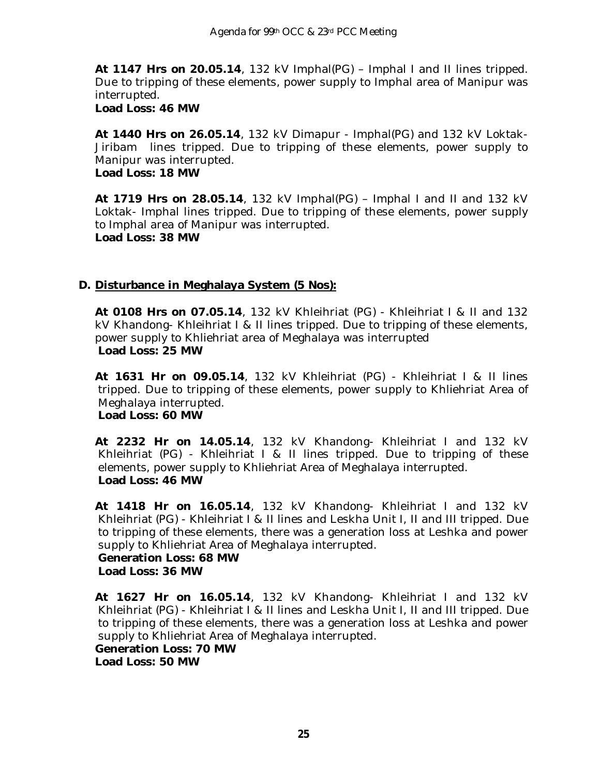**At 1147 Hrs on 20.05.14**, 132 kV Imphal(PG) – Imphal I and II lines tripped. Due to tripping of these elements, power supply to Imphal area of Manipur was interrupted.

**Load Loss: 46 MW**

**At 1440 Hrs on 26.05.14**, 132 kV Dimapur - Imphal(PG) and 132 kV Loktak-Jiribam lines tripped. Due to tripping of these elements, power supply to Manipur was interrupted. **Load Loss: 18 MW**

**At 1719 Hrs on 28.05.14**, 132 kV Imphal(PG) – Imphal I and II and 132 kV Loktak- Imphal lines tripped. Due to tripping of these elements, power supply to Imphal area of Manipur was interrupted. **Load Loss: 38 MW**

## **D. Disturbance in Meghalaya System (5 Nos):**

**At 0108 Hrs on 07.05.14**, 132 kV Khleihriat (PG) - Khleihriat I & II and 132 kV Khandong- Khleihriat I & II lines tripped. Due to tripping of these elements, power supply to Khliehriat area of Meghalaya was interrupted **Load Loss: 25 MW**

**At 1631 Hr on 09.05.14**, 132 kV Khleihriat (PG) - Khleihriat I & II lines tripped. Due to tripping of these elements, power supply to Khliehriat Area of Meghalaya interrupted. **Load Loss: 60 MW**

**At 2232 Hr on 14.05.14**, 132 kV Khandong- Khleihriat I and 132 kV Khleihriat (PG) - Khleihriat I & II lines tripped. Due to tripping of these elements, power supply to Khliehriat Area of Meghalaya interrupted. **Load Loss: 46 MW**

**At 1418 Hr on 16.05.14**, 132 kV Khandong- Khleihriat I and 132 kV Khleihriat (PG) - Khleihriat I & II lines and Leskha Unit I, II and III tripped. Due to tripping of these elements, there was a generation loss at Leshka and power supply to Khliehriat Area of Meghalaya interrupted.

**Generation Loss: 68 MW Load Loss: 36 MW**

**At 1627 Hr on 16.05.14**, 132 kV Khandong- Khleihriat I and 132 kV Khleihriat (PG) - Khleihriat I & II lines and Leskha Unit I, II and III tripped. Due to tripping of these elements, there was a generation loss at Leshka and power supply to Khliehriat Area of Meghalaya interrupted. **Generation Loss: 70 MW Load Loss: 50 MW**